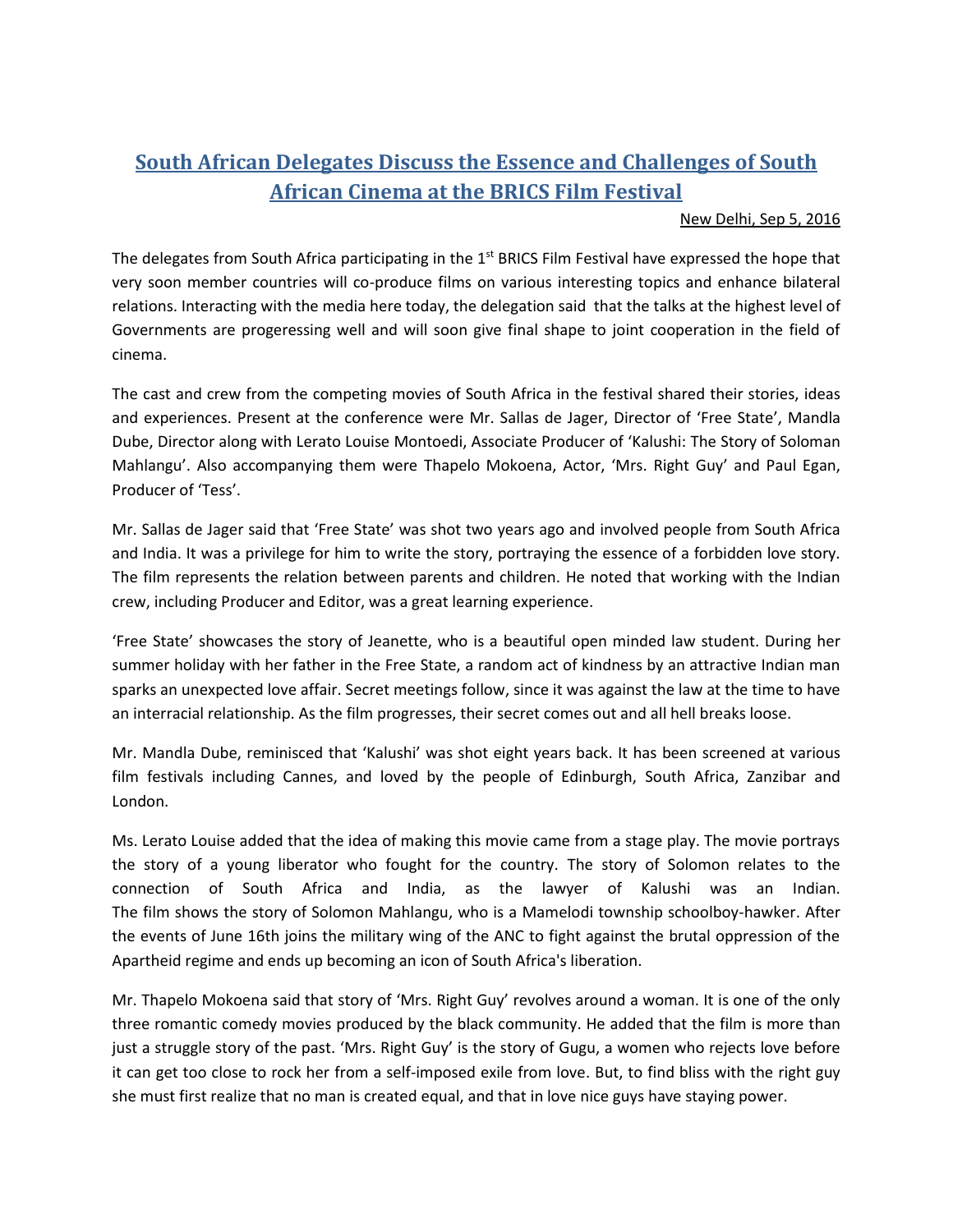## **South African Delegates Discuss the Essence and Challenges of South African Cinema at the BRICS Film Festival**

## New Delhi, Sep 5, 2016

The delegates from South Africa participating in the  $1<sup>st</sup>$  BRICS Film Festival have expressed the hope that very soon member countries will co-produce films on various interesting topics and enhance bilateral relations. Interacting with the media here today, the delegation said that the talks at the highest level of Governments are progeressing well and will soon give final shape to joint cooperation in the field of cinema.

The cast and crew from the competing movies of South Africa in the festival shared their stories, ideas and experiences. Present at the conference were Mr. Sallas de Jager, Director of 'Free State', Mandla Dube, Director along with Lerato Louise Montoedi, Associate Producer of 'Kalushi: The Story of Soloman Mahlangu'. Also accompanying them were Thapelo Mokoena, Actor, 'Mrs. Right Guy' and Paul Egan, Producer of 'Tess'.

Mr. Sallas de Jager said that 'Free State' was shot two years ago and involved people from South Africa and India. It was a privilege for him to write the story, portraying the essence of a forbidden love story. The film represents the relation between parents and children. He noted that working with the Indian crew, including Producer and Editor, was a great learning experience.

'Free State' showcases the story of Jeanette, who is a beautiful open minded law student. During her summer holiday with her father in the Free State, a random act of kindness by an attractive Indian man sparks an unexpected love affair. Secret meetings follow, since it was against the law at the time to have an interracial relationship. As the film progresses, their secret comes out and all hell breaks loose.

Mr. Mandla Dube, reminisced that 'Kalushi' was shot eight years back. It has been screened at various film festivals including Cannes, and loved by the people of Edinburgh, South Africa, Zanzibar and London.

Ms. Lerato Louise added that the idea of making this movie came from a stage play. The movie portrays the story of a young liberator who fought for the country. The story of Solomon relates to the connection of South Africa and India, as the lawyer of Kalushi was an Indian. The film shows the story of Solomon Mahlangu, who is a Mamelodi township schoolboy-hawker. After the events of June 16th joins the military wing of the ANC to fight against the brutal oppression of the Apartheid regime and ends up becoming an icon of South Africa's liberation.

Mr. Thapelo Mokoena said that story of 'Mrs. Right Guy' revolves around a woman. It is one of the only three romantic comedy movies produced by the black community. He added that the film is more than just a struggle story of the past. 'Mrs. Right Guy' is the story of Gugu, a women who rejects love before it can get too close to rock her from a self-imposed exile from love. But, to find bliss with the right guy she must first realize that no man is created equal, and that in love nice guys have staying power.